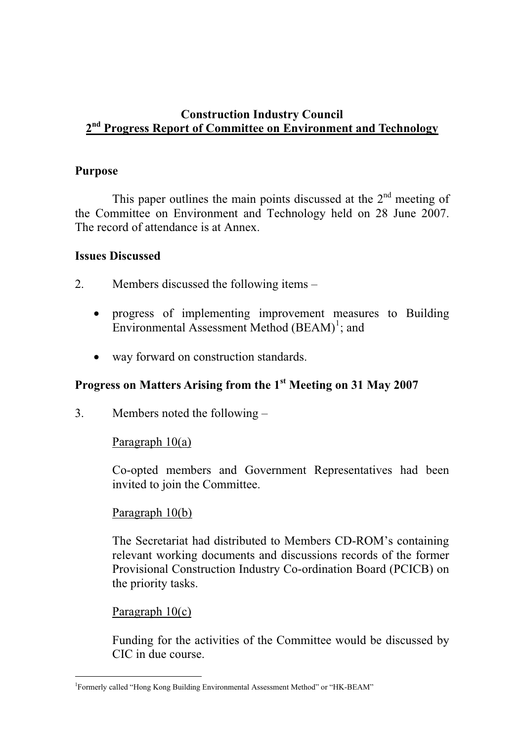## **Construction Industry Council 2nd Progress Report of Committee on Environment and Technology**

#### **Purpose**

This paper outlines the main points discussed at the  $2<sup>nd</sup>$  meeting of the Committee on Environment and Technology held on 28 June 2007. The record of attendance is at Annex.

#### **Issues Discussed**

- 2. Members discussed the following items
	- progress of implementing improvement measures to Building Environmental Assessment Method  $(BEAM)^1$ ; and
	- way forward on construction standards.

# **Progress on Matters Arising from the 1st Meeting on 31 May 2007**

3. Members noted the following –

## Paragraph 10(a)

Co-opted members and Government Representatives had been invited to join the Committee.

#### Paragraph 10(b)

The Secretariat had distributed to Members CD-ROM's containing relevant working documents and discussions records of the former Provisional Construction Industry Co-ordination Board (PCICB) on the priority tasks.

#### Paragraph 10(c)

Funding for the activities of the Committee would be discussed by CIC in due course.

<sup>-</sup><sup>1</sup>Formerly called "Hong Kong Building Environmental Assessment Method" or "HK-BEAM"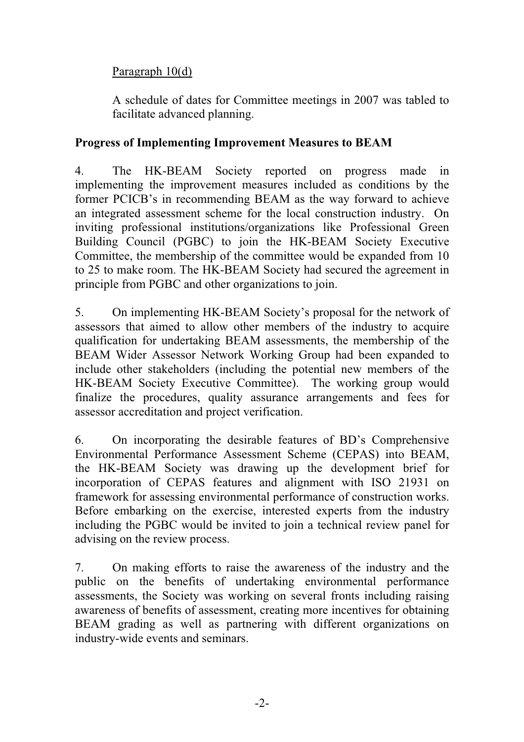# Paragraph 10(d)

A schedule of dates for Committee meetings in 2007 was tabled to facilitate advanced planning.

## **Progress of Implementing Improvement Measures to BEAM**

4. The HK-BEAM Society reported on progress made in implementing the improvement measures included as conditions by the former PCICB's in recommending BEAM as the way forward to achieve an integrated assessment scheme for the local construction industry. On inviting professional institutions/organizations like Professional Green Building Council (PGBC) to join the HK-BEAM Society Executive Committee, the membership of the committee would be expanded from 10 to 25 to make room. The HK-BEAM Society had secured the agreement in principle from PGBC and other organizations to join.

5. On implementing HK-BEAM Society's proposal for the network of assessors that aimed to allow other members of the industry to acquire qualification for undertaking BEAM assessments, the membership of the BEAM Wider Assessor Network Working Group had been expanded to include other stakeholders (including the potential new members of the HK-BEAM Society Executive Committee). The working group would finalize the procedures, quality assurance arrangements and fees for assessor accreditation and project verification.

6. On incorporating the desirable features of BD's Comprehensive Environmental Performance Assessment Scheme (CEPAS) into BEAM, the HK-BEAM Society was drawing up the development brief for incorporation of CEPAS features and alignment with ISO 21931 on framework for assessing environmental performance of construction works. Before embarking on the exercise, interested experts from the industry including the PGBC would be invited to join a technical review panel for advising on the review process.

7. On making efforts to raise the awareness of the industry and the public on the benefits of undertaking environmental performance assessments, the Society was working on several fronts including raising awareness of benefits of assessment, creating more incentives for obtaining BEAM grading as well as partnering with different organizations on industry-wide events and seminars.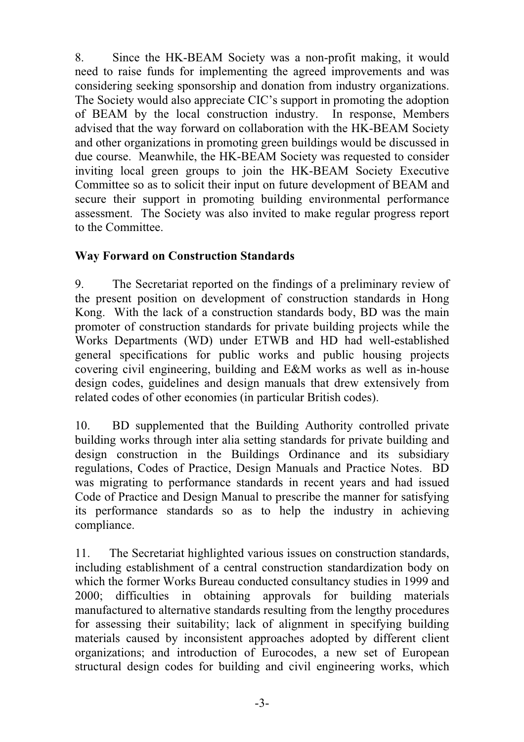8. Since the HK-BEAM Society was a non-profit making, it would need to raise funds for implementing the agreed improvements and was considering seeking sponsorship and donation from industry organizations. The Society would also appreciate CIC's support in promoting the adoption of BEAM by the local construction industry. In response, Members advised that the way forward on collaboration with the HK-BEAM Society and other organizations in promoting green buildings would be discussed in due course. Meanwhile, the HK-BEAM Society was requested to consider inviting local green groups to join the HK-BEAM Society Executive Committee so as to solicit their input on future development of BEAM and secure their support in promoting building environmental performance assessment. The Society was also invited to make regular progress report to the Committee.

## **Way Forward on Construction Standards**

9. The Secretariat reported on the findings of a preliminary review of the present position on development of construction standards in Hong Kong. With the lack of a construction standards body, BD was the main promoter of construction standards for private building projects while the Works Departments (WD) under ETWB and HD had well-established general specifications for public works and public housing projects covering civil engineering, building and E&M works as well as in-house design codes, guidelines and design manuals that drew extensively from related codes of other economies (in particular British codes).

10. BD supplemented that the Building Authority controlled private building works through inter alia setting standards for private building and design construction in the Buildings Ordinance and its subsidiary regulations, Codes of Practice, Design Manuals and Practice Notes. BD was migrating to performance standards in recent years and had issued Code of Practice and Design Manual to prescribe the manner for satisfying its performance standards so as to help the industry in achieving compliance.

11. The Secretariat highlighted various issues on construction standards, including establishment of a central construction standardization body on which the former Works Bureau conducted consultancy studies in 1999 and 2000; difficulties in obtaining approvals for building materials manufactured to alternative standards resulting from the lengthy procedures for assessing their suitability; lack of alignment in specifying building materials caused by inconsistent approaches adopted by different client organizations; and introduction of Eurocodes, a new set of European structural design codes for building and civil engineering works, which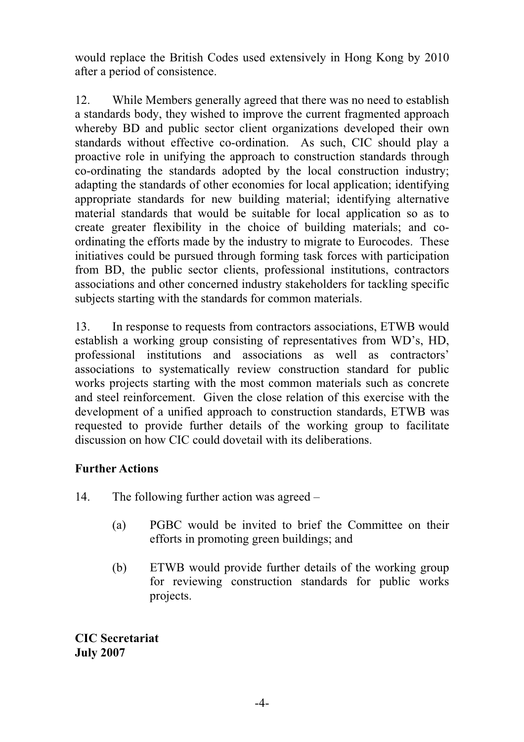would replace the British Codes used extensively in Hong Kong by 2010 after a period of consistence.

12. While Members generally agreed that there was no need to establish a standards body, they wished to improve the current fragmented approach whereby BD and public sector client organizations developed their own standards without effective co-ordination. As such, CIC should play a proactive role in unifying the approach to construction standards through co-ordinating the standards adopted by the local construction industry; adapting the standards of other economies for local application; identifying appropriate standards for new building material; identifying alternative material standards that would be suitable for local application so as to create greater flexibility in the choice of building materials; and coordinating the efforts made by the industry to migrate to Eurocodes. These initiatives could be pursued through forming task forces with participation from BD, the public sector clients, professional institutions, contractors associations and other concerned industry stakeholders for tackling specific subjects starting with the standards for common materials.

13. In response to requests from contractors associations, ETWB would establish a working group consisting of representatives from WD's, HD, professional institutions and associations as well as contractors' associations to systematically review construction standard for public works projects starting with the most common materials such as concrete and steel reinforcement. Given the close relation of this exercise with the development of a unified approach to construction standards, ETWB was requested to provide further details of the working group to facilitate discussion on how CIC could dovetail with its deliberations.

## **Further Actions**

14. The following further action was agreed –

- (a) PGBC would be invited to brief the Committee on their efforts in promoting green buildings; and
- (b) ETWB would provide further details of the working group for reviewing construction standards for public works projects.

**CIC Secretariat July 2007**